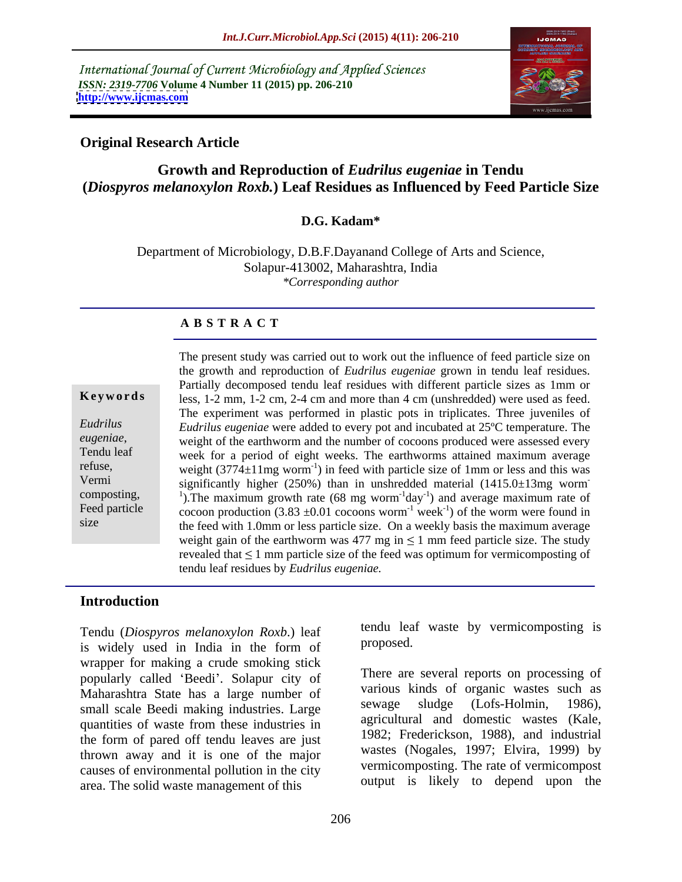International Journal of Current Microbiology and Applied Sciences *ISSN: 2319-7706* **Volume 4 Number 11 (2015) pp. 206-210 <http://www.ijcmas.com>**



# **Original Research Article**

# **Growth and Reproduction of** *Eudrilus eugeniae* **in Tendu (***Diospyros melanoxylon Roxb.***) Leaf Residues as Influenced by Feed Particle Size**

## **D.G. Kadam\***

Department of Microbiology, D.B.F.Dayanand College of Arts and Science, Solapur-413002, Maharashtra, India *\*Corresponding author*

### **A B S T R A C T**

size

The present study was carried out to work out the influence of feed particle size on the growth and reproduction of *Eudrilus eugeniae* grown in tendu leaf residues. Partially decomposed tendu leaf residues with different particle sizes as 1mm or **Keywords** less,  $1-2$  mm,  $1-2$  cm,  $2-4$  cm and more than  $4$  cm (unshredded) were used as feed. The experiment was performed in plastic pots in triplicates. Three juveniles of *Eudrilus eugeniae* were added to every pot and incubated at 25ºC temperature. The *Eudrilus*  eugeniae,<br> **Example 3** weight of the earthworm and the number of cocoons produced were assessed every<br> **Tendu leaf** week for a period of eight weeks. The earthworms attained maximum average week for a period of eight weeks. The earthworms attained maximum average refuse, weight  $(3774 \pm 11 \text{mg} \text{ worm}^{-1})$  in feed with particle size of 1mm or less and this was significantly higher (250%) than in unshredded material (1415.0±13mg worm Vermi **-** Construction of the construction composting,  $\frac{1}{2}$ . The maximum growth rate (68 mg worm<sup>-1</sup>day<sup>-1</sup>) and average maximum rate of ) and average maximum rate of Feed particle cocoon production  $(3.83 \pm 0.01 \text{ cocoons worm}^{-1} \text{ week}^{-1})$  of the worm were found in ) of the worm were found in the feed with 1.0mm or less particle size. On a weekly basis the maximum average weight gain of the earthworm was 477 mg in  $\leq 1$  mm feed particle size. The study revealed that  $\leq 1$  mm particle size of the feed was optimum for vermicomposting of tendu leaf residues by *Eudrilus eugeniae.* 

### **Introduction**

Tendu (*Diospyros melanoxylon Roxb*.) leaf is widely used in India in the form of wrapper for making a crude smoking stick popularly called 'Beedi'. Solapur city of Maharashtra State has a large number of various kinds of organic wastes such as sewage sludge (Lofs-Holmin, 1986), small scale Beedi making industries. Large quantities of waste from these industries in the form of pared off tendu leaves are just thrown away and it is one of the major causes of environmental pollution in the city area. The solid waste management of this

tendu leaf waste by vermicomposting is proposed.

There are several reports on processing of various kinds of organic wastes such as sewage sludge (Lofs-Holmin, 1986), agricultural and domestic wastes (Kale, 1982; Frederickson, 1988), and industrial wastes (Nogales, 1997; Elvira, 1999) by vermicomposting. The rate of vermicompost output is likely to depend upon the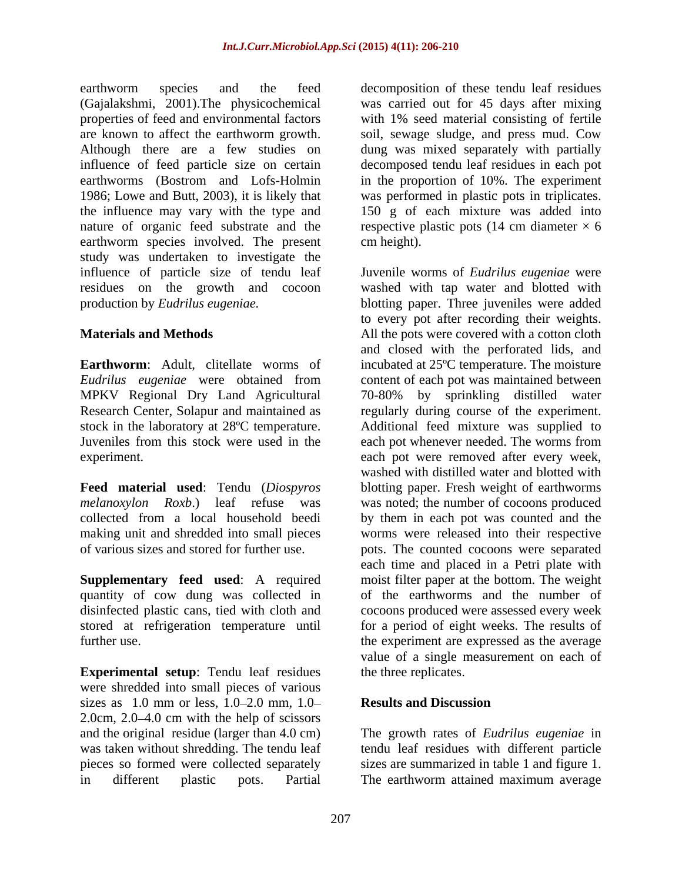earthworm species and the feed decomposition of these tendu leaf residues (Gajalakshmi, 2001).The physicochemical was carried out for45 days after mixing properties of feed and environmental factors with 1% seed material consisting of fertile are known to affect the earthworm growth. soil, sewage sludge, and press mud. Cow Although there are a few studies on dung was mixed separately with partially influence of feed particle size on certain earthworms (Bostrom and Lofs-Holmin in the proportion of 10%. The experiment 1986; Lowe and Butt, 2003), it is likely that was performed in plastic pots in triplicates. the influence may vary with the type and 150 g of each mixture was added into nature of organic feed substrate and the respective plastic pots  $(14 \text{ cm diameter} \times 6$ earthworm species involved. The present cm height). study was undertaken to investigate the

MPKV Regional Dry Land Agricultural 70-80% by sprinkling distilled water

**Feed material used**: Tendu (*Diospyros* 

**Supplementary feed used**: A required quantity of cow dung was collected in

**Experimental setup**: Tendu leaf residues were shredded into small pieces of various sizes as  $1.0$  mm or less,  $1.0-2.0$  mm,  $1.0-$  Results and Discussion 2.0cm,  $2.0-4.0$  cm with the help of scissors and the original residue (larger than 4.0 cm) was taken without shredding. The tendu leaf tendu leaf residues with different particle pieces so formed were collected separately sizes are summarized in table 1 and figure 1. in different plastic pots. Partial The earthworm attained maximum average

decomposed tendu leaf residues in each pot cm height).

influence of particle size of tendu leaf Juvenile worms of *Eudrilus eugeniae* were residues on the growth and cocoon washed with tap water and blotted with production by *Eudrilus eugeniae.* blotting paper. Three juveniles were added **Materials and Methods All the pots were covered with a cotton cloth Earthworm**: Adult, clitellate worms of incubated at 25<sup>o</sup>C temperature. The moisture *Eudrilus eugeniae* were obtained from content of each pot was maintained between Research Center, Solapur and maintained as regularly during course of the experiment. stock in the laboratory at 28ºC temperature. Additional feed mixture was supplied to Juveniles from this stock were used in the each pot whenever needed. The worms from experiment. each pot were removed after every week, *melanoxylon Roxb*.) leaf refuse was was noted; the number of cocoons produced collected from a local household beedi by them in each pot was counted and the making unit and shredded into small pieces worms were released into their respective of various sizes and stored for further use. pots. The counted cocoons were separated disinfected plastic cans, tied with cloth and cocoons produced were assessed every week stored at refrigeration temperature until for a period of eight weeks. The results of further use. the experiment are expressed as the average to every pot after recording their weights. and closed with the perforated lids, and 70-80% by sprinkling distilled water washed with distilled water and blotted with blotting paper. Fresh weight of earthworms each time and placed in a Petri plate with moist filter paper at the bottom. The weight of the earthworms and the number of value of a single measurement on each of the three replicates.

# **Results and Discussion**

The growth rates of *Eudrilus eugeniae* in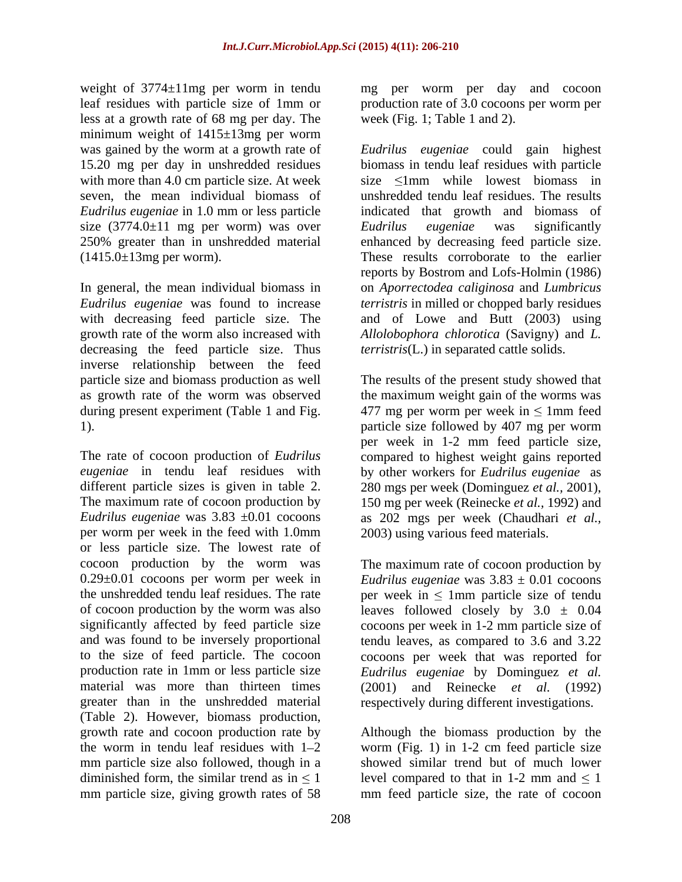weight of 3774±11mg per worm in tendu mg per worm per day and cocoon leaf residues with particle size of 1mm or production rate of 3.0 cocoons per worm per less at a growth rate of 68 mg per day. The minimum weight of 1415±13mg per worm size  $(3774.0 \pm 11 \text{ mg per worm})$  was over Eudrilus eugeniae was significantly

with decreasing feed particle size. The decreasing the feed particle size. Thus inverse relationship between the feed

The rate of cocoon production of *Eudrilus*  compared to highest weight gains reported *eugeniae* in tendu leaf residues with by other workers for *Eudrilus eugeniae* as different particle sizes is given in table 2. 280 mgs per week (Dominguez *et al.,* 2001), The maximum rate of cocoon production by 150 mg per week (Reinecke *et al.,* 1992) and *Eudrilus eugeniae* was 3.83 ±0.01 cocoons as 202 mgs per week (Chaudhari *et al.,* per worm per week in the feed with 1.0mm or less particle size. The lowest rate of cocoon production by the worm was The maximum rate of cocoon production by 0.29±0.01 cocoons per worm per week in *Eudrilus eugeniae* was 3.83 ± 0.01 cocoons the unshredded tendu leaf residues. The rate  $p$  per week in  $\leq 1$ mm particle size of tendu of cocoon production by the worm was also leaves followed closely by  $3.0 \pm 0.04$ significantly affected by feed particle size cocoons per week in 1-2 mm particle size of and was found to be inversely proportional tendu leaves, as compared to 3.6 and 3.22 to the size of feed particle. The cocoon cocoons per week that was reported for production rate in 1mm or less particle size *Eudrilus eugeniae* by Dominguez *et al.* material was more than thirteen times (2001) and Reinecke *et al.* (1992) greater than in the unshredded material respectively during different investigations. (Table 2). However, biomass production, growth rate and cocoon production rate by Although the biomass production by the the worm in tendu leaf residues with  $1-2$  worm (Fig. 1) in 1-2 cm feed particle size mm particle size also followed, though in a showed similar trend but of much lower diminished form, the similar trend as in  $\leq 1$  level compared to that in 1-2 mm and  $\leq 1$ mm particle size, giving growth rates of 58 mm feed particle size, the rate of cocoon

week (Fig. 1; Table 1 and 2).

was gained by the worm at a growth rate of *Eudrilus eugeniae* could gain highest 15.20 mg per day in unshredded residues biomass in tendu leaf residues with particle with more than 4.0 cm particle size. At week  $size \le 1$ mm while lowest biomass in seven, the mean individual biomass of unshredded tendu leaf residues. The results *Eudrilus eugeniae* in 1.0 mm or less particle indicated that growth and biomass of 250% greater than in unshredded material enhanced by decreasing feed particle size. (1415.0±13mg per worm). These results corroborate to the earlier In general, the mean individual biomass in on *Aporrectodea caliginosa* and *Lumbricus Eudrilus eugeniae* was found to increase *terristris* in milled or chopped barly residues growth rate of the worm also increased with *Allolobophora chlorotica* (Savigny) and *L. Eudrilus eugeniae* was significantly reports by Bostrom and Lofs-Holmin (1986) and of Lowe and Butt (2003) using *terristris*(L.) in separated cattle solids.

particle size and biomass production as well The results of the present study showed that as growth rate of the worm was observed the maximum weight gain of the worms was during present experiment (Table 1 and Fig.  $\qquad 477$  mg per worm per week in  $\leq 1$ mm feed 1). particle size followed by 407 mg per worm per week in 1-2 mm feed particle size, 2003) using various feed materials.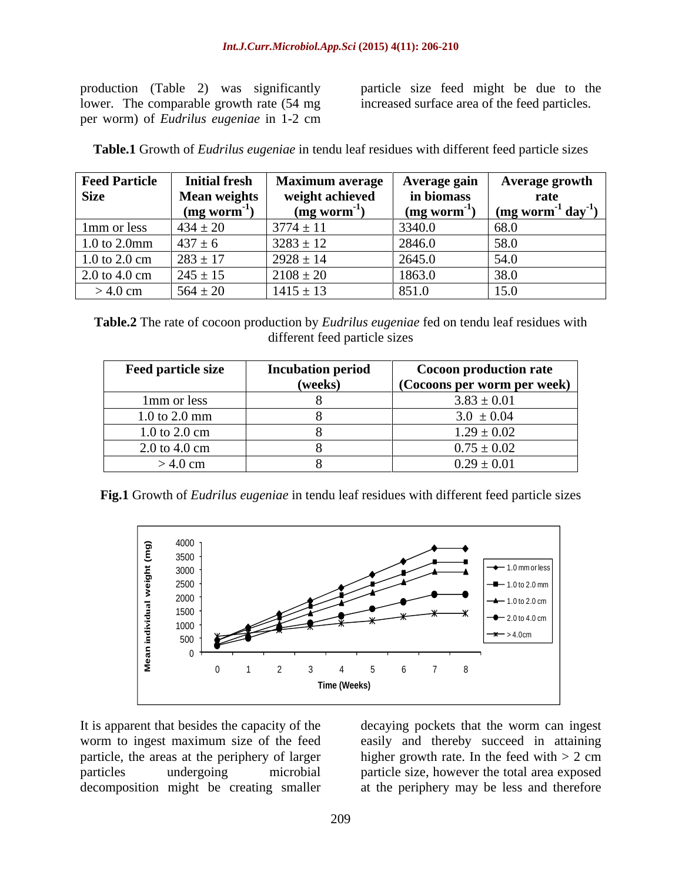lower. The comparable growth rate (54 mg per worm) of *Eudrilus eugeniae* in 1-2 cm

production (Table 2) was significantly particle size feed might be due to the increased surface area of the feed particles.

**Table.1** Growth of *Eudrilus eugeniae* in tendu leaf residues with different feed particle sizes

| <b>Feed Particle</b><br><b>Size</b> | <b>Initial fresh</b><br>Mean weights<br>$(mg_{\rm worm}$ <sup>-1</sup> | <b>Maximum average</b><br>weight achieved<br>$\left(\text{mg worm}^{\text{-1}}\right)$ | Average gain<br>in biomass<br>$\left(\text{mg worm}^{\text{-1}}\right)$ | Average growth<br>rate<br>$\frac{1}{2}$ (mg worm <sup>-1</sup> day <sup>-1</sup> |
|-------------------------------------|------------------------------------------------------------------------|----------------------------------------------------------------------------------------|-------------------------------------------------------------------------|----------------------------------------------------------------------------------|
| 1 <sub>mm</sub> or less             | $434 \pm 20$                                                           | $3774 \pm 11$                                                                          | 3340.0                                                                  | 68.0                                                                             |
| 1.0 to 2.0mm                        | $437 \pm 6$                                                            | $3283 \pm 12$                                                                          | 2846.0                                                                  | 58.0                                                                             |
| $1.0$ to $2.0$ cm                   | $283 \pm 17$                                                           | $2928 \pm 14$                                                                          | 2645.0                                                                  | 54.0                                                                             |
| $2.0 \text{ to } 4.0 \text{ cm}$    | $245 \pm 15$                                                           | $2108 \pm 20$                                                                          | 1863.0                                                                  | 38.0                                                                             |
| $>$ 4.0 cm                          | $564 \pm 20$                                                           | $1415 \pm 13$                                                                          | 851.0                                                                   | 15.0                                                                             |

**Table.2** The rate of cocoon production by *Eudrilus eugeniae* fed on tendu leaf residues with different feed particle sizes

| <b>Feed particle size</b> | <b>Incubation period</b> | <b>Cocoon production rate</b>      |
|---------------------------|--------------------------|------------------------------------|
|                           | (weeks)                  | $\sim$ (Cocoons per worm per week) |
| 1mm or less               |                          | $3.83 \pm 0.01$                    |
| $1.0$ to $2.0$ mm         |                          | $3.0 \pm 0.04$                     |
| 1.0 to 2.0 cm             |                          | $1.29 \pm 0.02$                    |
| 2.0 to 4.0 cm             |                          | $0.75 \pm 0.02$                    |
| $>$ 4.0 cm                |                          | $0.29 \pm 0.01$                    |

**Fig.1** Growth of *Eudrilus eugeniae* in tendu leaf residues with different feed particle sizes



It is apparent that besides the capacity of the decaying pockets that the worm can ingest worm to ingest maximum size of the feed easily and thereby succeed in attaining particle, the areas at the periphery of larger particles undergoing microbial particle size, however the total area exposed decomposition might be creating smaller

higher growth rate. In the feed with  $> 2$  cm at the periphery may be less and therefore